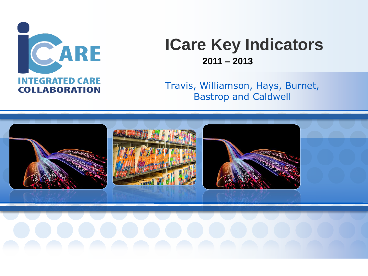

# **ICare Key Indicators 2011 – 2013**

Travis, Williamson, Hays, Burnet, Bastrop and Caldwell

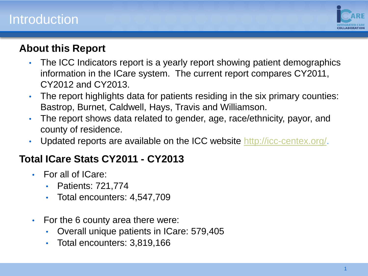### **Introduction**



#### **About this Report**

- The ICC Indicators report is a yearly report showing patient demographics information in the ICare system. The current report compares CY2011, CY2012 and CY2013.
- The report highlights data for patients residing in the six primary counties: Bastrop, Burnet, Caldwell, Hays, Travis and Williamson.
- The report shows data related to gender, age, race/ethnicity, payor, and county of residence.
- Updated reports are available on the ICC website <http://icc-centex.org/>.

#### **Total ICare Stats CY2011 - CY2013**

- For all of ICare:
	- Patients: 721,774
	- Total encounters: 4,547,709
- For the 6 county area there were:
	- Overall unique patients in ICare: 579,405
	- Total encounters: 3,819,166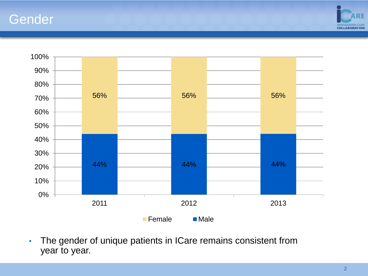#### Gender





• The gender of unique patients in ICare remains consistent from year to year.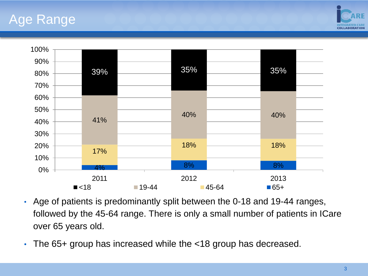### Age Range





- Age of patients is predominantly split between the 0-18 and 19-44 ranges, followed by the 45-64 range. There is only a small number of patients in ICare over 65 years old.
- The 65+ group has increased while the <18 group has decreased.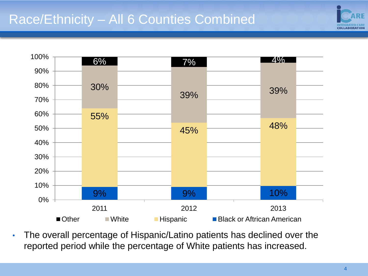# Race/Ethnicity – All 6 Counties Combined





• The overall percentage of Hispanic/Latino patients has declined over the reported period while the percentage of White patients has increased.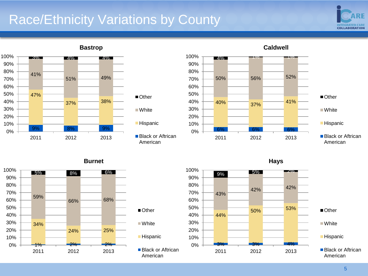## Race/Ethnicity Variations by County





**Bastrop**



■ Other

■ White

**Hispanic** 

American



**Caldwell**

**Hispanic** ■ Black or Aftrican American

**Burnet**





**Hays**

■ Other ■White

**Hispanic** 

■ Black or Aftrican American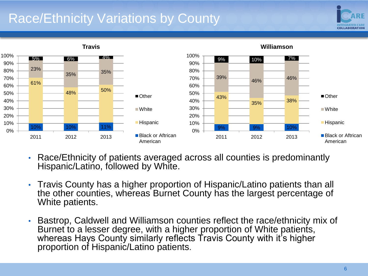# Race/Ethnicity Variations by County





**Williamson**

- Race/Ethnicity of patients averaged across all counties is predominantly Hispanic/Latino, followed by White.
- Travis County has a higher proportion of Hispanic/Latino patients than all the other counties, whereas Burnet County has the largest percentage of White patients.
- Bastrop, Caldwell and Williamson counties reflect the race/ethnicity mix of Burnet to a lesser degree, with a higher proportion of White patients, whereas Hays County similarly reflects Travis County with it's higher proportion of Hispanic/Latino patients.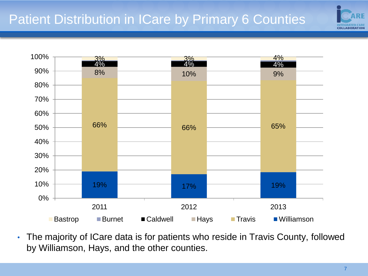



• The majority of ICare data is for patients who reside in Travis County, followed by Williamson, Hays, and the other counties.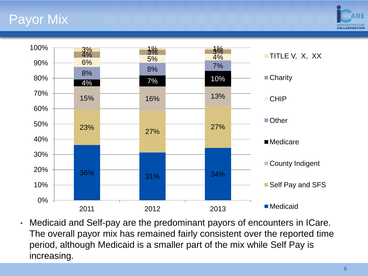# Payor Mix





• Medicaid and Self-pay are the predominant payors of encounters in ICare. The overall payor mix has remained fairly consistent over the reported time period, although Medicaid is a smaller part of the mix while Self Pay is increasing.